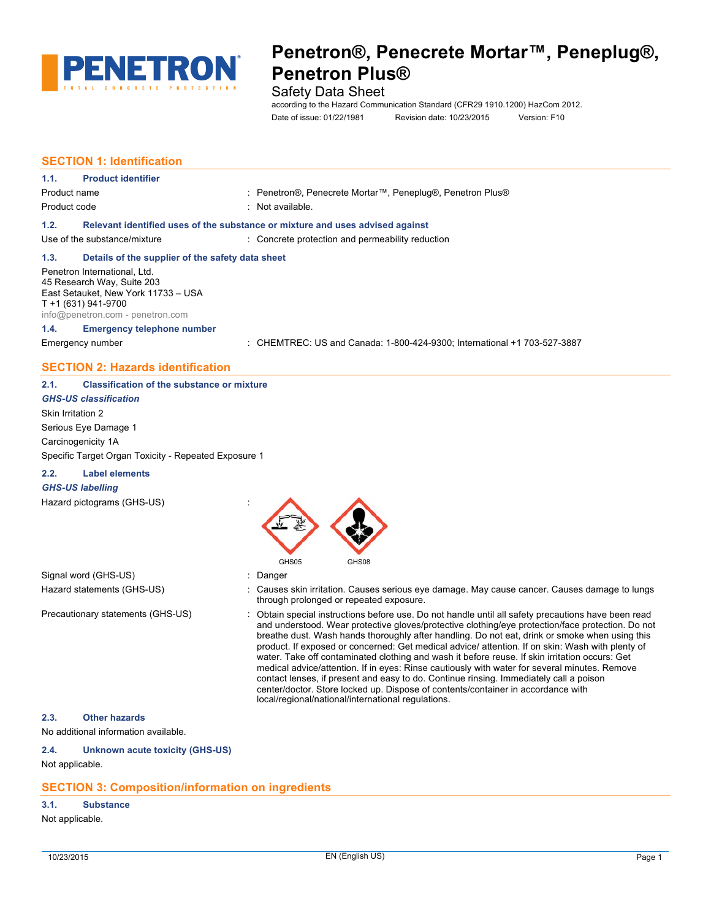

# Safety Data Sheet

according to the Hazard Communication Standard (CFR29 1910.1200) HazCom 2012. Date of issue: 01/22/1981 Revision date: 10/23/2015 Version: F10

# **SECTION 1: Identification**

| 1.1.         | <b>Product identifier</b>                                                                                                                                    |                                                                               |
|--------------|--------------------------------------------------------------------------------------------------------------------------------------------------------------|-------------------------------------------------------------------------------|
| Product name |                                                                                                                                                              | : Penetron®, Penecrete Mortar™, Peneplug®, Penetron Plus®                     |
| Product code |                                                                                                                                                              | : Not available.                                                              |
| 1.2.         |                                                                                                                                                              | Relevant identified uses of the substance or mixture and uses advised against |
|              | Use of the substance/mixture                                                                                                                                 | : Concrete protection and permeability reduction                              |
| 1.3.         | Details of the supplier of the safety data sheet                                                                                                             |                                                                               |
|              | Penetron International, Ltd.<br>45 Research Way, Suite 203<br>East Setauket, New York 11733 - USA<br>T +1 (631) 941-9700<br>info@penetron.com - penetron.com |                                                                               |
| 1.4.         | <b>Emergency telephone number</b>                                                                                                                            |                                                                               |
|              | Emergency number                                                                                                                                             | : CHEMTREC: US and Canada: 1-800-424-9300; International +1 703-527-3887      |
|              | <b>SECTION 2: Hazards identification</b>                                                                                                                     |                                                                               |

| 2.1. | <b>Classification of the substance or mixture</b> |  |
|------|---------------------------------------------------|--|
|------|---------------------------------------------------|--|

*GHS-US classification* Skin Irritation 2 Serious Eye Damage 1 Carcinogenicity 1A Specific Target Organ Toxicity - Repeated Exposure 1

#### **2.2. Label elements**

#### *GHS-US labelling*

Hazard pictograms (GHS-US) :



Signal word (GHS-US) **in the state of the Signal word (GHS-US)** and the state of the state of the state of the state of the state of the state of the state of the state of the state of the state of the state of the state o

- Hazard statements (GHS-US) : Causes skin irritation. Causes serious eye damage. May cause cancer. Causes damage to lungs through prolonged or repeated exposure.
- Precautionary statements (GHS-US) : Obtain special instructions before use. Do not handle until all safety precautions have been read and understood. Wear protective gloves/protective clothing/eye protection/face protection. Do not breathe dust. Wash hands thoroughly after handling. Do not eat, drink or smoke when using this product. If exposed or concerned: Get medical advice/ attention. If on skin: Wash with plenty of water. Take off contaminated clothing and wash it before reuse. If skin irritation occurs: Get medical advice/attention. If in eyes: Rinse cautiously with water for several minutes. Remove contact lenses, if present and easy to do. Continue rinsing. Immediately call a poison center/doctor. Store locked up. Dispose of contents/container in accordance with local/regional/national/international regulations.

#### **2.3. Other hazards**

No additional information available.

#### **2.4. Unknown acute toxicity (GHS-US)**

Not applicable.

### **SECTION 3: Composition/information on ingredients**

# **3.1. Substance**

Not applicable.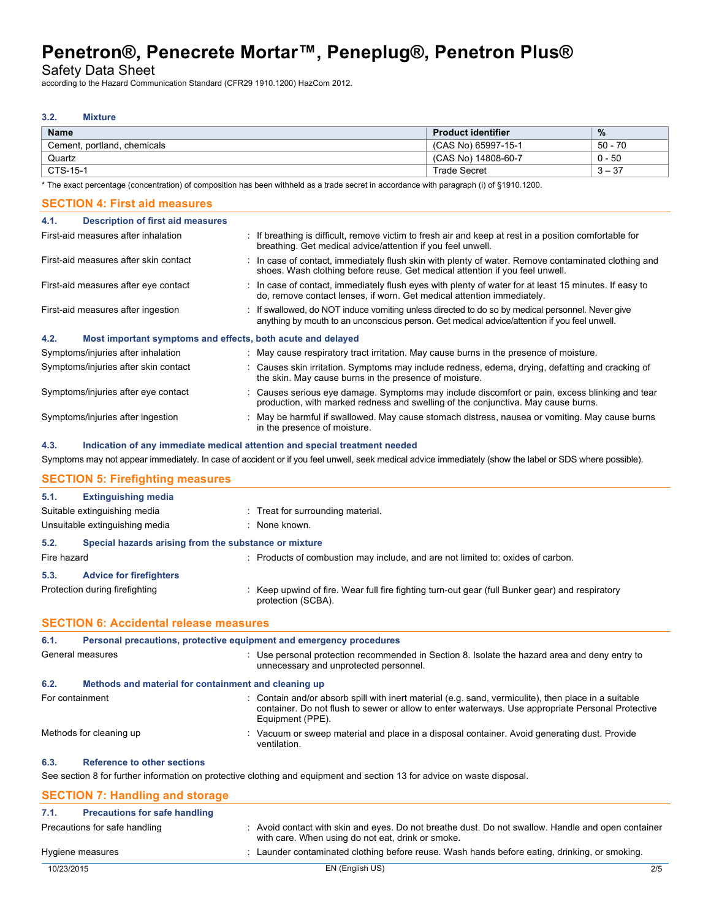Safety Data Sheet

according to the Hazard Communication Standard (CFR29 1910.1200) HazCom 2012.

# **3.2. Mixture**

| <b>Name</b>                 | <b>Product identifier</b> | $\frac{9}{6}$             |
|-----------------------------|---------------------------|---------------------------|
| Cement, portland, chemicals | (CAS No) 65997-15-1       | 50 - .<br>70              |
| Quartz                      | (CAS No) 14808-60-7       | 0 - 50                    |
| CTS-15-1                    | <b>Trade Secret</b>       | ົດ⊤<br>ົ<br><u> ১ – ১</u> |

\* The exact percentage (concentration) of composition has been withheld as a trade secret in accordance with paragraph (i) of §1910.1200.

| <b>SECTION 4: First aid measures</b>                                |                                                                                                                                                                                                  |
|---------------------------------------------------------------------|--------------------------------------------------------------------------------------------------------------------------------------------------------------------------------------------------|
| <b>Description of first aid measures</b><br>4.1.                    |                                                                                                                                                                                                  |
| First-aid measures after inhalation                                 | : If breathing is difficult, remove victim to fresh air and keep at rest in a position comfortable for<br>breathing. Get medical advice/attention if you feel unwell.                            |
| First-aid measures after skin contact                               | : In case of contact, immediately flush skin with plenty of water. Remove contaminated clothing and<br>shoes. Wash clothing before reuse. Get medical attention if you feel unwell.              |
| First-aid measures after eye contact                                | : In case of contact, immediately flush eyes with plenty of water for at least 15 minutes. If easy to<br>do, remove contact lenses, if worn. Get medical attention immediately.                  |
| First-aid measures after ingestion                                  | : If swallowed, do NOT induce vomiting unless directed to do so by medical personnel. Never give<br>anything by mouth to an unconscious person. Get medical advice/attention if you feel unwell. |
| Most important symptoms and effects, both acute and delayed<br>4.2. |                                                                                                                                                                                                  |
| Symptoms/injuries after inhalation                                  | : May cause respiratory tract irritation. May cause burns in the presence of moisture.                                                                                                           |
| Symptoms/injuries after skin contact                                | : Causes skin irritation. Symptoms may include redness, edema, drying, defatting and cracking of<br>the skin. May cause burns in the presence of moisture.                                       |
| Symptoms/injuries after eye contact                                 | : Causes serious eye damage. Symptoms may include discomfort or pain, excess blinking and tear<br>production, with marked redness and swelling of the conjunctiva. May cause burns.              |
| Symptoms/injuries after ingestion                                   | : May be harmful if swallowed. May cause stomach distress, nausea or vomiting. May cause burns<br>in the presence of moisture.                                                                   |

#### **4.3. Indication of any immediate medical attention and special treatment needed**

Symptoms may not appear immediately. In case of accident or if you feel unwell, seek medical advice immediately (show the label or SDS where possible).

# **SECTION 5: Firefighting measures**

| 5.1.        | <b>Extinguishing media</b>                            |                                                                                                                       |
|-------------|-------------------------------------------------------|-----------------------------------------------------------------------------------------------------------------------|
|             | Suitable extinguishing media                          | : Treat for surrounding material.                                                                                     |
|             | Unsuitable extinguishing media                        | : None known.                                                                                                         |
| 5.2.        | Special hazards arising from the substance or mixture |                                                                                                                       |
| Fire hazard |                                                       | : Products of combustion may include, and are not limited to: oxides of carbon.                                       |
| 5.3.        | <b>Advice for firefighters</b>                        |                                                                                                                       |
|             | Protection during firefighting                        | : Keep upwind of fire. Wear full fire fighting turn-out gear (full Bunker gear) and respiratory<br>protection (SCBA). |
|             | <b>SECTION 6: Accidental release measures</b>         |                                                                                                                       |
| 6.1.        |                                                       | Personal precautions, protective equipment and emergency procedures                                                   |

| 6.1.            | Personal precautions, protective equipment and emergency procedures |                                                                                                                                                                                                                               |  |
|-----------------|---------------------------------------------------------------------|-------------------------------------------------------------------------------------------------------------------------------------------------------------------------------------------------------------------------------|--|
|                 | General measures                                                    | : Use personal protection recommended in Section 8. Isolate the hazard area and deny entry to<br>unnecessary and unprotected personnel.                                                                                       |  |
| 6.2.            | Methods and material for containment and cleaning up                |                                                                                                                                                                                                                               |  |
| For containment |                                                                     | : Contain and/or absorb spill with inert material (e.g. sand, vermiculite), then place in a suitable<br>container. Do not flush to sewer or allow to enter waterways. Use appropriate Personal Protective<br>Equipment (PPE). |  |
|                 | Methods for cleaning up                                             | : Vacuum or sweep material and place in a disposal container. Avoid generating dust. Provide<br>ventilation.                                                                                                                  |  |
| 6.3.            | <b>Reference to other sections</b>                                  |                                                                                                                                                                                                                               |  |
|                 |                                                                     | See section 8 for further information on protective clothing and equipment and section 13 for advice on waste disposal.                                                                                                       |  |
|                 | <b>SECTION 7: Handling and storage</b>                              |                                                                                                                                                                                                                               |  |

| 7.1.       | <b>Precautions for safe handling</b> |                                                                                                                                                         |     |
|------------|--------------------------------------|---------------------------------------------------------------------------------------------------------------------------------------------------------|-----|
|            | Precautions for safe handling        | : Avoid contact with skin and eyes. Do not breathe dust. Do not swallow. Handle and open container<br>with care. When using do not eat, drink or smoke. |     |
|            | Hygiene measures                     | : Launder contaminated clothing before reuse. Wash hands before eating, drinking, or smoking.                                                           |     |
| 10/23/2015 |                                      | EN (English US)                                                                                                                                         | 2/5 |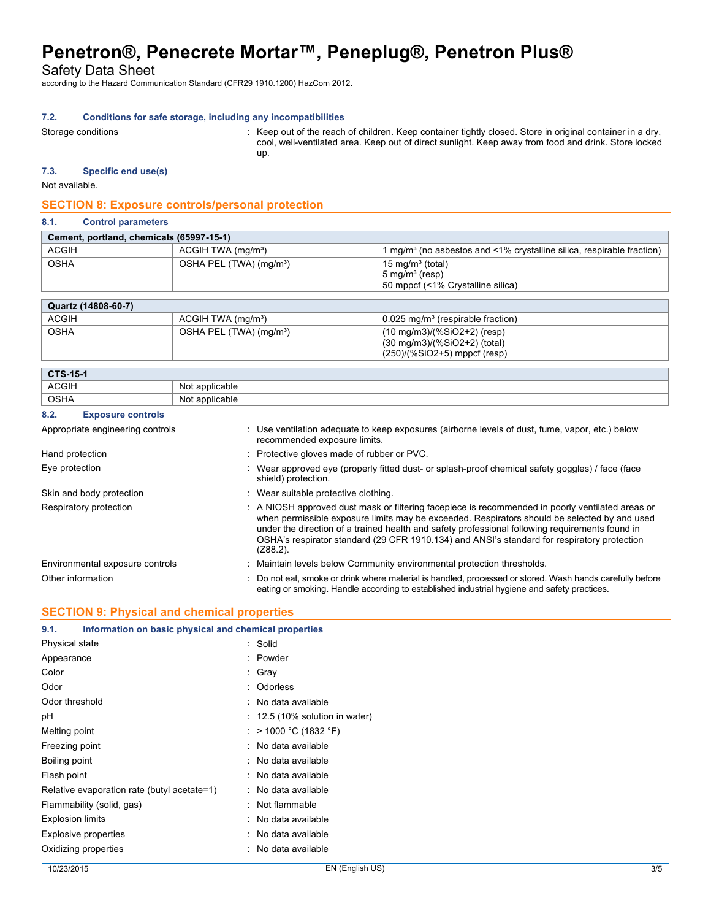Safety Data Sheet

according to the Hazard Communication Standard (CFR29 1910.1200) HazCom 2012.

#### **7.2. Conditions for safe storage, including any incompatibilities**

Storage conditions **Storage conditions** : Keep out of the reach of children. Keep container tightly closed. Store in original container in a dry, cool, well-ventilated area. Keep out of direct sunlight. Keep away from food and drink. Store locked up.

# **7.3. Specific end use(s)**

Not available.

# **SECTION 8: Exposure controls/personal protection**

### **8.1. Control parameters**

| Cement, portland, chemicals (65997-15-1) |                                     |                                                                                                |  |
|------------------------------------------|-------------------------------------|------------------------------------------------------------------------------------------------|--|
| <b>ACGIH</b>                             | ACGIH TWA (mg/m <sup>3</sup> )      | l mg/m <sup>s</sup> (no asbestos and <1% crystalline silica, respirable fraction)              |  |
| <b>OSHA</b>                              | OSHA PEL (TWA) (mg/m <sup>3</sup> ) | 15 mg/m <sup>3</sup> (total)<br>$5 \text{ mg/m}^3$ (resp)<br>50 mppcf (<1% Crystalline silica) |  |

| Quartz (14808-60-7) |                                     |                                                                                                                   |
|---------------------|-------------------------------------|-------------------------------------------------------------------------------------------------------------------|
| <b>ACGIH</b>        | ACGIH TWA (mg/m <sup>3</sup> )      | $0.025$ mg/m <sup>3</sup> (respirable fraction)                                                                   |
| <b>OSHA</b>         | OSHA PEL (TWA) (mg/m <sup>3</sup> ) | $(10 \text{ mg/m3})/(%SiO2+2)$ (resp)<br>$(30 \text{ mg/m}3)/(%SiO2+2)$ (total)<br>$(250)/(%SiO2+5)$ mppcf (resp) |

| <b>CTS-15-1</b> |                        |  |
|-----------------|------------------------|--|
| <b>ACGIH</b>    | applicable<br>*^ا^     |  |
| <b>OSHA</b>     | applicable<br>NMt<br>. |  |

#### **8.2. Exposure controls**

| Appropriate engineering controls | : Use ventilation adequate to keep exposures (airborne levels of dust, fume, vapor, etc.) below<br>recommended exposure limits.                                                                                                                                                                                                                                                                                   |
|----------------------------------|-------------------------------------------------------------------------------------------------------------------------------------------------------------------------------------------------------------------------------------------------------------------------------------------------------------------------------------------------------------------------------------------------------------------|
| Hand protection                  | : Protective gloves made of rubber or PVC.                                                                                                                                                                                                                                                                                                                                                                        |
| Eye protection                   | : Wear approved eye (properly fitted dust- or splash-proof chemical safety goggles) / face (face<br>shield) protection.                                                                                                                                                                                                                                                                                           |
| Skin and body protection         | : Wear suitable protective clothing.                                                                                                                                                                                                                                                                                                                                                                              |
| Respiratory protection           | : A NIOSH approved dust mask or filtering facepiece is recommended in poorly ventilated areas or<br>when permissible exposure limits may be exceeded. Respirators should be selected by and used<br>under the direction of a trained health and safety professional following requirements found in<br>OSHA's respirator standard (29 CFR 1910.134) and ANSI's standard for respiratory protection<br>$(Z88.2)$ . |
| Environmental exposure controls  | : Maintain levels below Community environmental protection thresholds.                                                                                                                                                                                                                                                                                                                                            |
| Other information                | : Do not eat, smoke or drink where material is handled, processed or stored. Wash hands carefully before<br>eating or smoking. Handle according to established industrial hygiene and safety practices.                                                                                                                                                                                                           |

### **SECTION 9: Physical and chemical properties**

| Information on basic physical and chemical properties<br>9.1. |                                           |
|---------------------------------------------------------------|-------------------------------------------|
| Physical state                                                | : Solid                                   |
| Appearance                                                    | : Powder                                  |
| Color                                                         | : Gray                                    |
| Odor                                                          | : Odorless                                |
| Odor threshold                                                | : No data available                       |
| рH                                                            | $\therefore$ 12.5 (10% solution in water) |
| Melting point                                                 | : > 1000 °C (1832 °F)                     |
| Freezing point                                                | : No data available                       |
| Boiling point                                                 | : No data available                       |
| Flash point                                                   | : No data available                       |
| Relative evaporation rate (butyl acetate=1)                   | : No data available                       |
| Flammability (solid, gas)                                     | : Not flammable                           |
| <b>Explosion limits</b>                                       | : No data available                       |
| <b>Explosive properties</b>                                   | : No data available                       |
| Oxidizing properties                                          | : No data available                       |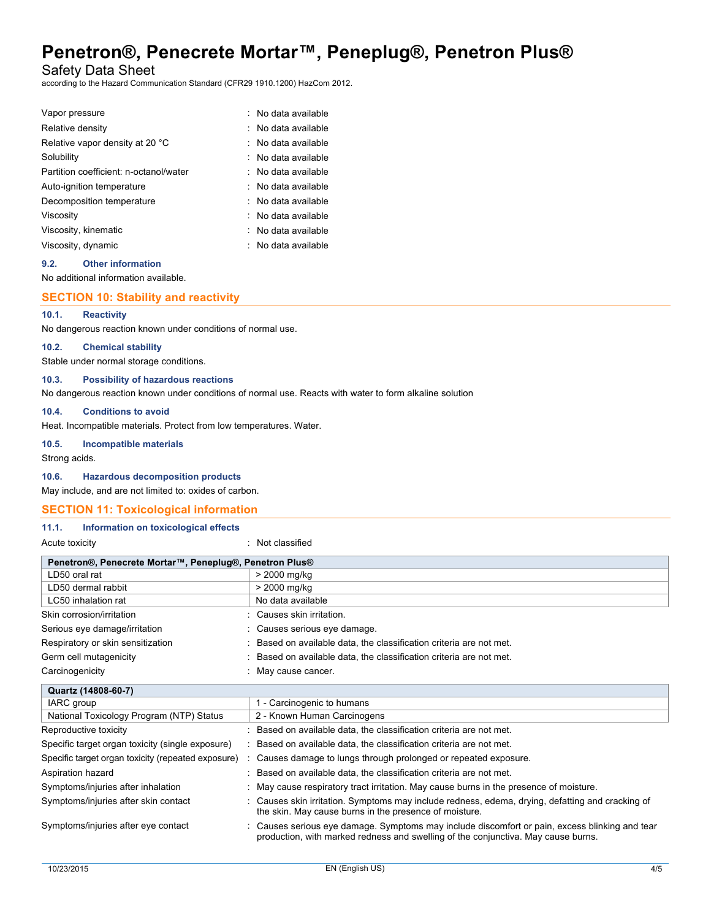Safety Data Sheet

according to the Hazard Communication Standard (CFR29 1910.1200) HazCom 2012.

| Vapor pressure                         | : No data available |
|----------------------------------------|---------------------|
| Relative density                       | No data available   |
| Relative vapor density at 20 °C        | : No data available |
| Solubility                             | No data available   |
| Partition coefficient: n-octanol/water | : No data available |
| Auto-ignition temperature              | No data available   |
| Decomposition temperature              | No data available   |
| Viscosity                              | No data available   |
| Viscosity, kinematic                   | No data available   |
| Viscosity, dynamic                     | : No data available |

#### **9.2. Other information**

No additional information available.

#### **SECTION 10: Stability and reactivity**

### **10.1. Reactivity**

No dangerous reaction known under conditions of normal use.

### **10.2. Chemical stability**

Stable under normal storage conditions.

### **10.3. Possibility of hazardous reactions**

No dangerous reaction known under conditions of normal use. Reacts with water to form alkaline solution

#### **10.4. Conditions to avoid**

Heat. Incompatible materials. Protect from low temperatures. Water.

#### **10.5. Incompatible materials**

Strong acids.

#### **10.6. Hazardous decomposition products**

May include, and are not limited to: oxides of carbon.

#### **SECTION 11: Toxicological information**

#### **11.1. Information on toxicological effects**

#### Acute toxicity in the contract of the contract of the contract of the contract of the contract of the contract of the contract of the contract of the contract of the contract of the contract of the contract of the contract

| Penetron®, Penecrete Mortar™, Peneplug®, Penetron Plus® |                                                                     |  |  |  |  |
|---------------------------------------------------------|---------------------------------------------------------------------|--|--|--|--|
| LD50 oral rat                                           | > 2000 mg/kg                                                        |  |  |  |  |
| LD50 dermal rabbit                                      | > 2000 mg/kg                                                        |  |  |  |  |
| LC50 inhalation rat                                     | No data available                                                   |  |  |  |  |
| Skin corrosion/irritation                               | : Causes skin irritation.                                           |  |  |  |  |
| Serious eye damage/irritation                           | : Causes serious eve damage.                                        |  |  |  |  |
| Respiratory or skin sensitization                       | : Based on available data, the classification criteria are not met. |  |  |  |  |
| Germ cell mutagenicity                                  | : Based on available data, the classification criteria are not met. |  |  |  |  |
| Carcinogenicity                                         | May cause cancer.                                                   |  |  |  |  |

| Quartz (14808-60-7)                                |                                                                                                                                                                                     |
|----------------------------------------------------|-------------------------------------------------------------------------------------------------------------------------------------------------------------------------------------|
| IARC group                                         | 1 - Carcinogenic to humans                                                                                                                                                          |
| National Toxicology Program (NTP) Status           | 2 - Known Human Carcinogens                                                                                                                                                         |
| Reproductive toxicity                              | : Based on available data, the classification criteria are not met.                                                                                                                 |
| Specific target organ toxicity (single exposure)   | : Based on available data, the classification criteria are not met.                                                                                                                 |
| Specific target organ toxicity (repeated exposure) | : Causes damage to lungs through prolonged or repeated exposure.                                                                                                                    |
| Aspiration hazard                                  | : Based on available data, the classification criteria are not met.                                                                                                                 |
| Symptoms/injuries after inhalation                 | : May cause respiratory tract irritation. May cause burns in the presence of moisture.                                                                                              |
| Symptoms/injuries after skin contact               | : Causes skin irritation. Symptoms may include redness, edema, drying, defatting and cracking of<br>the skin. May cause burns in the presence of moisture.                          |
| Symptoms/injuries after eye contact                | : Causes serious eye damage. Symptoms may include discomfort or pain, excess blinking and tear<br>production, with marked redness and swelling of the conjunctiva. May cause burns. |